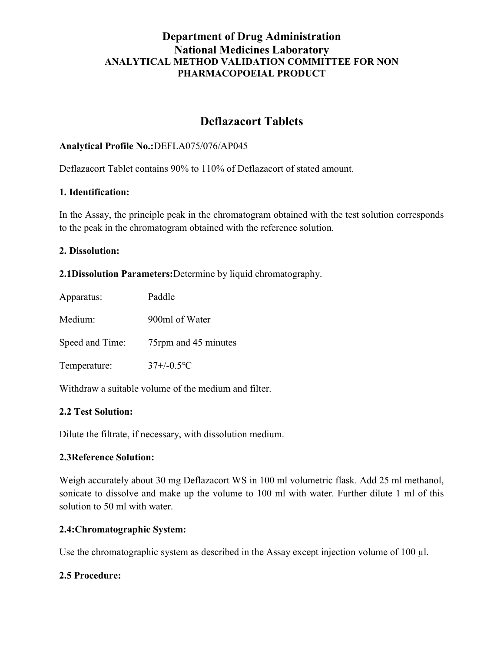# Department of Drug Administration National Medicines Laboratory ANALYTICAL METHOD VALIDATION COMMITTEE FOR NON PHARMACOPOEIAL PRODUCT

# Deflazacort Tablets

# Analytical Profile No.:DEFLA075/076/AP045

Deflazacort Tablet contains 90% to 110% of Deflazacort of stated amount.

#### 1. Identification:

In the Assay, the principle peak in the chromatogram obtained with the test solution corresponds to the peak in the chromatogram obtained with the reference solution.

#### 2. Dissolution:

2.1Dissolution Parameters:Determine by liquid chromatography.

| Apparatus:      | Paddle                      |
|-----------------|-----------------------------|
| Medium:         | 900ml of Water              |
| Speed and Time: | 75rpm and 45 minutes        |
| Temperature:    | $37 + (-0.5$ <sup>o</sup> C |

Withdraw a suitable volume of the medium and filter.

# 2.2 Test Solution:

Dilute the filtrate, if necessary, with dissolution medium.

# 2.3Reference Solution:

Weigh accurately about 30 mg Deflazacort WS in 100 ml volumetric flask. Add 25 ml methanol, sonicate to dissolve and make up the volume to 100 ml with water. Further dilute 1 ml of this solution to 50 ml with water.

# 2.4:Chromatographic System:

Use the chromatographic system as described in the Assay except injection volume of 100 µl.

# 2.5 Procedure: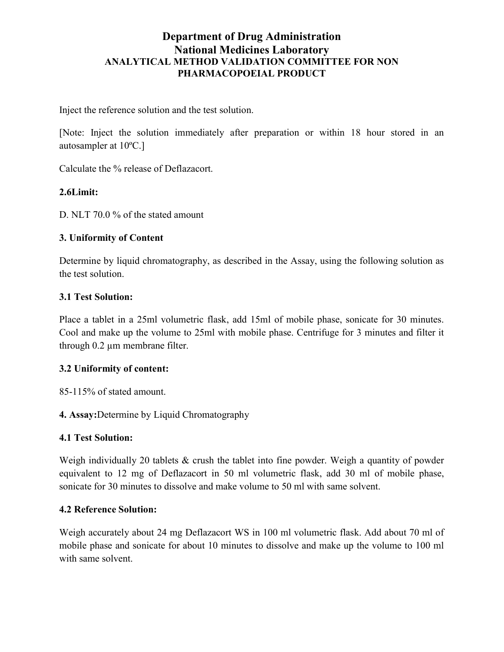# Department of Drug Administration National Medicines Laboratory ANALYTICAL METHOD VALIDATION COMMITTEE FOR NON PHARMACOPOEIAL PRODUCT

Inject the reference solution and the test solution.

[Note: Inject the solution immediately after preparation or within 18 hour stored in an autosampler at 10ºC.]

Calculate the % release of Deflazacort.

# 2.6Limit:

D. NLT 70.0 % of the stated amount

#### 3. Uniformity of Content

Determine by liquid chromatography, as described in the Assay, using the following solution as the test solution.

# 3.1 Test Solution:

Place a tablet in a 25ml volumetric flask, add 15ml of mobile phase, sonicate for 30 minutes. Cool and make up the volume to 25ml with mobile phase. Centrifuge for 3 minutes and filter it through 0.2 µm membrane filter.

# 3.2 Uniformity of content:

85-115% of stated amount.

4. Assay:Determine by Liquid Chromatography

#### 4.1 Test Solution:

Weigh individually 20 tablets & crush the tablet into fine powder. Weigh a quantity of powder equivalent to 12 mg of Deflazacort in 50 ml volumetric flask, add 30 ml of mobile phase, sonicate for 30 minutes to dissolve and make volume to 50 ml with same solvent.

#### 4.2 Reference Solution:

Weigh accurately about 24 mg Deflazacort WS in 100 ml volumetric flask. Add about 70 ml of mobile phase and sonicate for about 10 minutes to dissolve and make up the volume to 100 ml with same solvent.